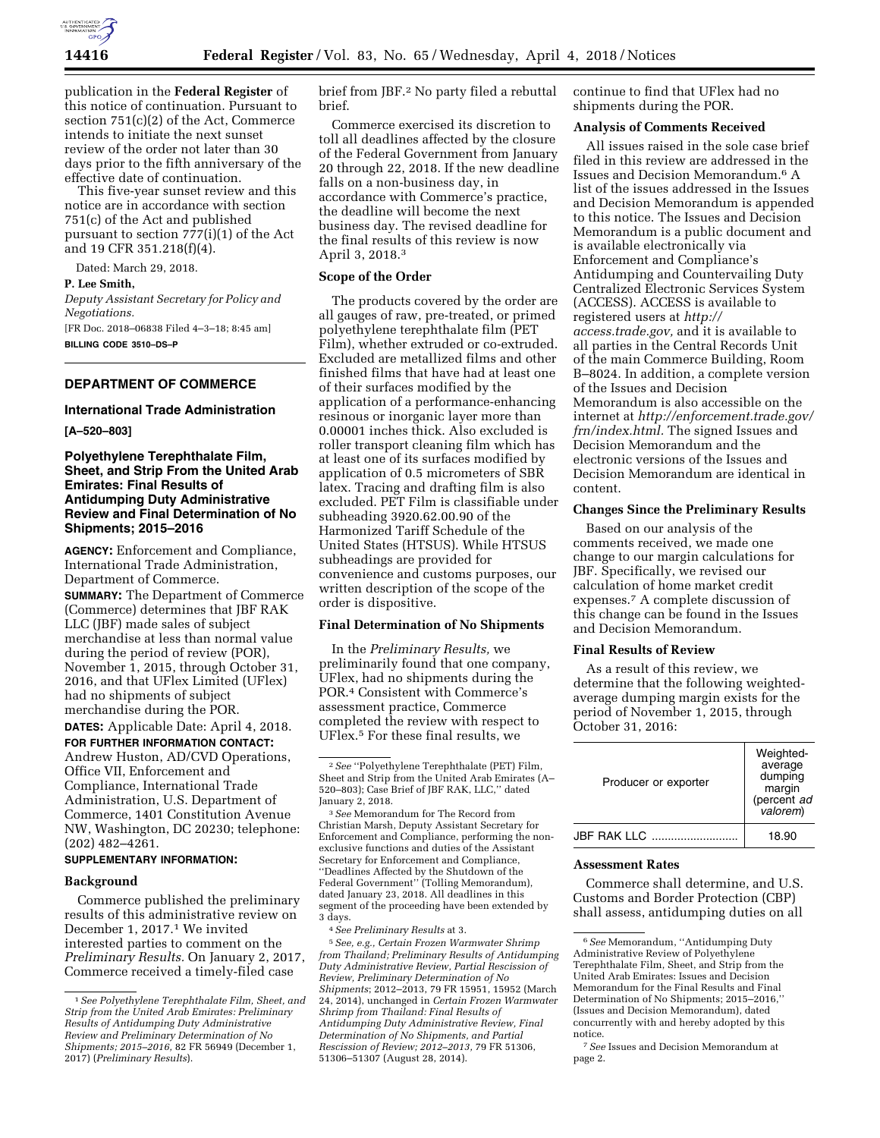

publication in the **Federal Register** of this notice of continuation. Pursuant to section 751(c)(2) of the Act, Commerce intends to initiate the next sunset review of the order not later than 30 days prior to the fifth anniversary of the effective date of continuation.

This five-year sunset review and this notice are in accordance with section 751(c) of the Act and published pursuant to section  $77(1)(1)$  of the Act and 19 CFR 351.218(f)(4).

Dated: March 29, 2018.

### **P. Lee Smith,**

*Deputy Assistant Secretary for Policy and Negotiations.* 

[FR Doc. 2018–06838 Filed 4–3–18; 8:45 am] **BILLING CODE 3510–DS–P** 

# **DEPARTMENT OF COMMERCE**

# **International Trade Administration**

**[A–520–803]** 

# **Polyethylene Terephthalate Film, Sheet, and Strip From the United Arab Emirates: Final Results of Antidumping Duty Administrative Review and Final Determination of No Shipments; 2015–2016**

**AGENCY:** Enforcement and Compliance, International Trade Administration, Department of Commerce.

**SUMMARY:** The Department of Commerce (Commerce) determines that JBF RAK LLC (JBF) made sales of subject merchandise at less than normal value during the period of review (POR), November 1, 2015, through October 31, 2016, and that UFlex Limited (UFlex) had no shipments of subject merchandise during the POR.

**DATES:** Applicable Date: April 4, 2018.

**FOR FURTHER INFORMATION CONTACT:**  Andrew Huston, AD/CVD Operations, Office VII, Enforcement and Compliance, International Trade Administration, U.S. Department of Commerce, 1401 Constitution Avenue NW, Washington, DC 20230; telephone: (202) 482–4261.

# **SUPPLEMENTARY INFORMATION:**

#### **Background**

Commerce published the preliminary results of this administrative review on December 1, 2017.1 We invited interested parties to comment on the *Preliminary Results.* On January 2, 2017, Commerce received a timely-filed case

brief from JBF.2 No party filed a rebuttal brief.

Commerce exercised its discretion to toll all deadlines affected by the closure of the Federal Government from January 20 through 22, 2018. If the new deadline falls on a non-business day, in accordance with Commerce's practice, the deadline will become the next business day. The revised deadline for the final results of this review is now April 3, 2018.3

### **Scope of the Order**

The products covered by the order are all gauges of raw, pre-treated, or primed polyethylene terephthalate film (PET Film), whether extruded or co-extruded. Excluded are metallized films and other finished films that have had at least one of their surfaces modified by the application of a performance-enhancing resinous or inorganic layer more than 0.00001 inches thick. Also excluded is roller transport cleaning film which has at least one of its surfaces modified by application of 0.5 micrometers of SBR latex. Tracing and drafting film is also excluded. PET Film is classifiable under subheading 3920.62.00.90 of the Harmonized Tariff Schedule of the United States (HTSUS). While HTSUS subheadings are provided for convenience and customs purposes, our written description of the scope of the order is dispositive.

#### **Final Determination of No Shipments**

In the *Preliminary Results,* we preliminarily found that one company, UFlex, had no shipments during the POR.4 Consistent with Commerce's assessment practice, Commerce completed the review with respect to UFlex.5 For these final results, we

3*See* Memorandum for The Record from Christian Marsh, Deputy Assistant Secretary for Enforcement and Compliance, performing the nonexclusive functions and duties of the Assistant Secretary for Enforcement and Compliance, ''Deadlines Affected by the Shutdown of the Federal Government'' (Tolling Memorandum), dated January 23, 2018. All deadlines in this segment of the proceeding have been extended by 3 days.

continue to find that UFlex had no shipments during the POR.

### **Analysis of Comments Received**

All issues raised in the sole case brief filed in this review are addressed in the Issues and Decision Memorandum.6 A list of the issues addressed in the Issues and Decision Memorandum is appended to this notice. The Issues and Decision Memorandum is a public document and is available electronically via Enforcement and Compliance's Antidumping and Countervailing Duty Centralized Electronic Services System (ACCESS). ACCESS is available to registered users at *[http://](http://access.trade.gov) [access.trade.gov,](http://access.trade.gov)* and it is available to all parties in the Central Records Unit of the main Commerce Building, Room B–8024. In addition, a complete version of the Issues and Decision Memorandum is also accessible on the internet at *[http://enforcement.trade.gov/](http://enforcement.trade.gov/frn/index.html) [frn/index.html.](http://enforcement.trade.gov/frn/index.html)* The signed Issues and Decision Memorandum and the electronic versions of the Issues and Decision Memorandum are identical in content.

#### **Changes Since the Preliminary Results**

Based on our analysis of the comments received, we made one change to our margin calculations for JBF. Specifically, we revised our calculation of home market credit expenses.7 A complete discussion of this change can be found in the Issues and Decision Memorandum.

### **Final Results of Review**

As a result of this review, we determine that the following weightedaverage dumping margin exists for the period of November 1, 2015, through October 31, 2016:

| Producer or exporter | Weighted-<br>average<br>dumping<br>margin<br>(percent ad<br>valorem) |
|----------------------|----------------------------------------------------------------------|
| JBE RAK I I C        | 18.90                                                                |

#### **Assessment Rates**

Commerce shall determine, and U.S. Customs and Border Protection (CBP) shall assess, antidumping duties on all

<sup>1</sup>*See Polyethylene Terephthalate Film, Sheet, and Strip from the United Arab Emirates: Preliminary Results of Antidumping Duty Administrative Review and Preliminary Determination of No Shipments; 2015–2016,* 82 FR 56949 (December 1, 2017) (*Preliminary Results*).

<sup>2</sup>*See* ''Polyethylene Terephthalate (PET) Film, Sheet and Strip from the United Arab Emirates (A– 520–803); Case Brief of JBF RAK, LLC,'' dated January 2, 2018.

<sup>4</sup>*See Preliminary Results* at 3.

<sup>5</sup>*See, e.g., Certain Frozen Warmwater Shrimp from Thailand; Preliminary Results of Antidumping Duty Administrative Review, Partial Rescission of Review, Preliminary Determination of No Shipments*; 2012–2013, 79 FR 15951, 15952 (March 24, 2014), unchanged in *Certain Frozen Warmwater Shrimp from Thailand: Final Results of Antidumping Duty Administrative Review, Final Determination of No Shipments, and Partial Rescission of Review; 2012–2013,* 79 FR 51306, 51306–51307 (August 28, 2014).

<sup>6</sup>*See* Memorandum, ''Antidumping Duty Administrative Review of Polyethylene Terephthalate Film, Sheet, and Strip from the United Arab Emirates: Issues and Decision Memorandum for the Final Results and Final Determination of No Shipments; 2015–2016,'' (Issues and Decision Memorandum), dated concurrently with and hereby adopted by this notice.

<sup>7</sup>*See* Issues and Decision Memorandum at page 2.